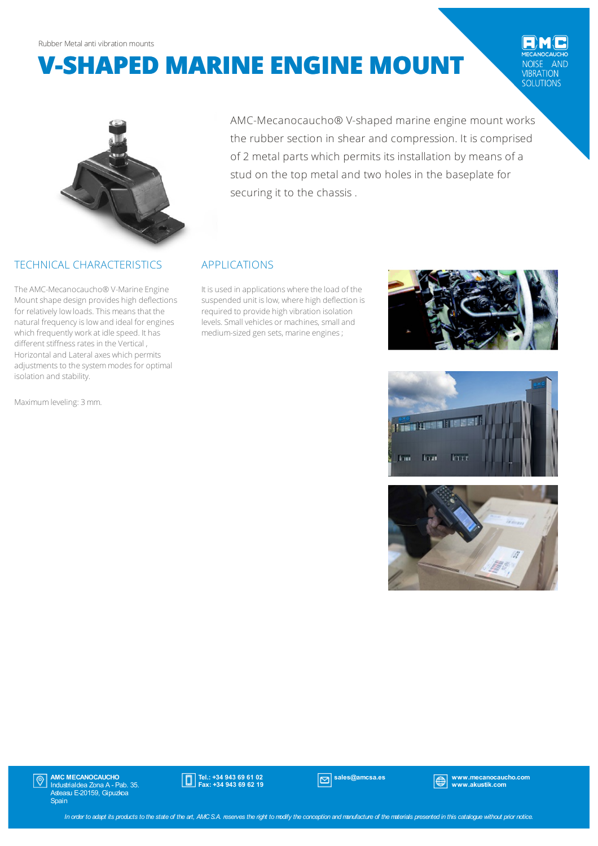## **V-SHAPED MARINE ENGINE MOUNT**

NOISE AND<br>
VIBRATION<br>
SOLUTIONS



#### TECHNICAL CHARACTERISTICS

The AMC-Mecanocaucho® V-Marine Engine Mountshape design provides high deflections for relatively low loads. This means that the natural frequency is low and ideal for engines which frequently workat idle speed. It has different stiffness rates in the Vertical, Horizontal and Lateral axes which permits adjustments to the system modes for optimal isolation and stability.

Maximumleveling: 3mm.

AMC-Mecanocaucho® V-shaped marine engine mount works the rubber section in shear and compression. It is comprised of 2 metal parts which permits its installation by means of a stud on the top metal and two holes in the baseplate for securing it to the chassis .

### APPLICATIONS

It is used in applications where the load of the suspended unit is low, where high deflection is required to provide high vibration isolation levels.Small vehicles or machines, smalland medium-sized gen sets, marine engines;







**AMC MECANOCAUCHO**<br>Industrialdea Zona A - Pab. 35.<br>Asteasu E-20159, Gipuzkoa  $|\mathbb{O}|$ **Spain** 



sales@amcsa.es www.mecanocaucho.com www.akustik.com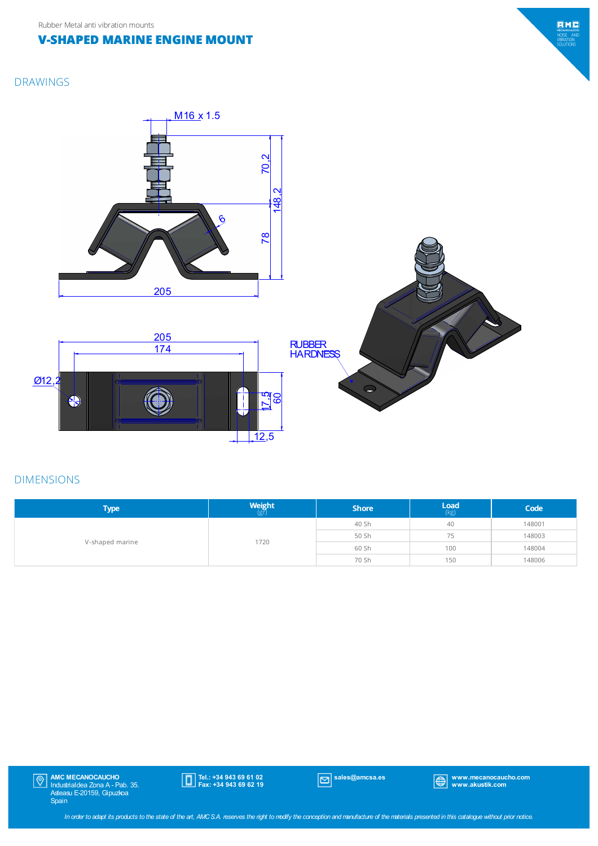### **V-SHAPED MARINE ENGINE MOUNT**

# EMO MECANOCAUCH<br>NOISE AND<br>VIBRATION<br>SOLUTIONS

### DRAWINGS



### DIMENSIONS

| <b>Type</b>     | <b>Weight</b><br>(gr) | <b>Shore</b> | $\mathsf{Load}$ (kg) | Code   |
|-----------------|-----------------------|--------------|----------------------|--------|
| V-shaped marine | 1720                  | 40 Sh        | 40                   | 148001 |
|                 |                       | 50 Sh        | 75                   | 148003 |
|                 |                       | 60 Sh        | 100                  | 148004 |
|                 |                       | 70 Sh        | 150                  | 148006 |